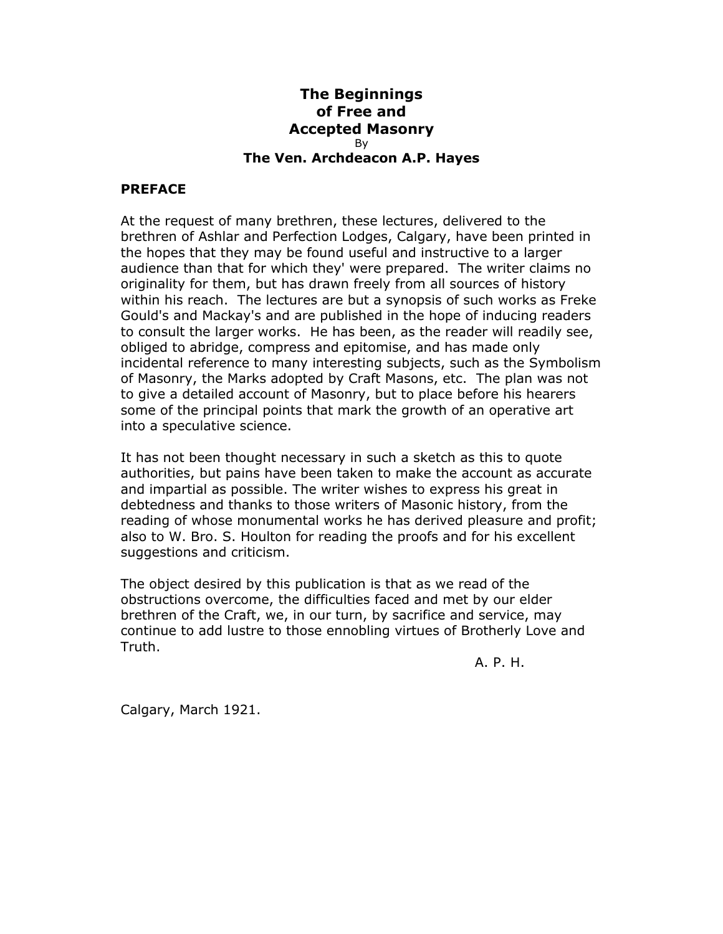## **The Beginnings of Free and Accepted Masonry** By **The Ven. Archdeacon A.P. Hayes**

## **PREFACE**

At the request of many brethren, these lectures, delivered to the brethren of Ashlar and Perfection Lodges, Calgary, have been printed in the hopes that they may be found useful and instructive to a larger audience than that for which they' were prepared. The writer claims no originality for them, but has drawn freely from all sources of history within his reach. The lectures are but a synopsis of such works as Freke Gould's and Mackay's and are published in the hope of inducing readers to consult the larger works. He has been, as the reader will readily see, obliged to abridge, compress and epitomise, and has made only incidental reference to many interesting subjects, such as the Symbolism of Masonry, the Marks adopted by Craft Masons, etc. The plan was not to give a detailed account of Masonry, but to place before his hearers some of the principal points that mark the growth of an operative art into a speculative science.

It has not been thought necessary in such a sketch as this to quote authorities, but pains have been taken to make the account as accurate and impartial as possible. The writer wishes to express his great in debtedness and thanks to those writers of Masonic history, from the reading of whose monumental works he has derived pleasure and profit; also to W. Bro. S. Houlton for reading the proofs and for his excellent suggestions and criticism.

The object desired by this publication is that as we read of the obstructions overcome, the difficulties faced and met by our elder brethren of the Craft, we, in our turn, by sacrifice and service, may continue to add lustre to those ennobling virtues of Brotherly Love and Truth.

A. P. H.

Calgary, March 1921.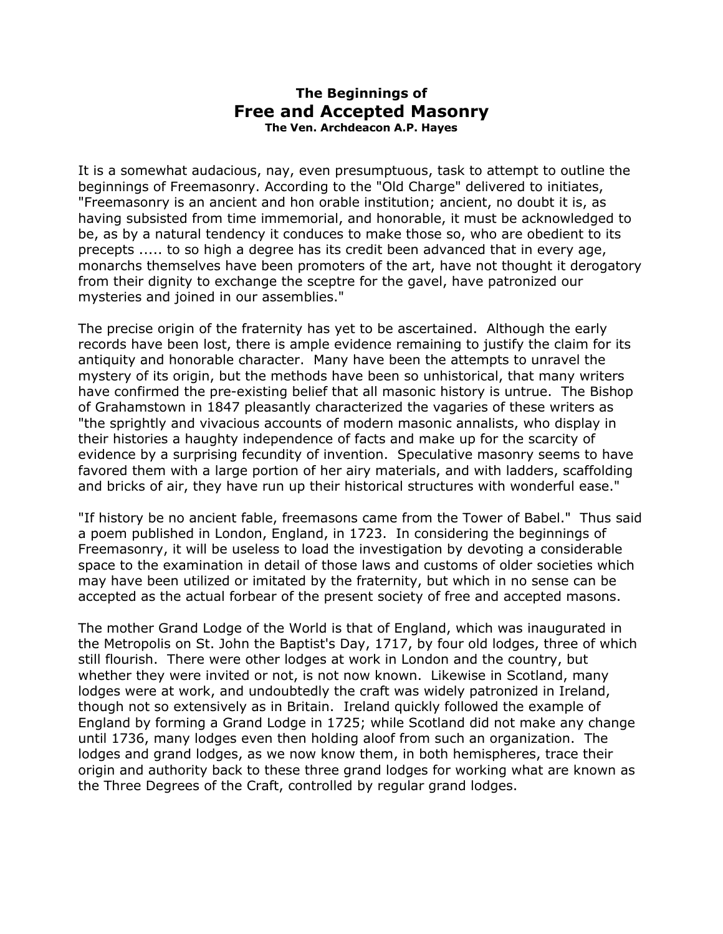## **The Beginnings of Free and Accepted Masonry The Ven. Archdeacon A.P. Hayes**

It is a somewhat audacious, nay, even presumptuous, task to attempt to outline the beginnings of Freemasonry. According to the "Old Charge" delivered to initiates, "Freemasonry is an ancient and hon orable institution; ancient, no doubt it is, as having subsisted from time immemorial, and honorable, it must be acknowledged to be, as by a natural tendency it conduces to make those so, who are obedient to its precepts ..... to so high a degree has its credit been advanced that in every age, monarchs themselves have been promoters of the art, have not thought it derogatory from their dignity to exchange the sceptre for the gavel, have patronized our mysteries and joined in our assemblies."

The precise origin of the fraternity has yet to be ascertained. Although the early records have been lost, there is ample evidence remaining to justify the claim for its antiquity and honorable character. Many have been the attempts to unravel the mystery of its origin, but the methods have been so unhistorical, that many writers have confirmed the pre-existing belief that all masonic history is untrue. The Bishop of Grahamstown in 1847 pleasantly characterized the vagaries of these writers as "the sprightly and vivacious accounts of modern masonic annalists, who display in their histories a haughty independence of facts and make up for the scarcity of evidence by a surprising fecundity of invention. Speculative masonry seems to have favored them with a large portion of her airy materials, and with ladders, scaffolding and bricks of air, they have run up their historical structures with wonderful ease."

"If history be no ancient fable, freemasons came from the Tower of Babel." Thus said a poem published in London, England, in 1723. In considering the beginnings of Freemasonry, it will be useless to load the investigation by devoting a considerable space to the examination in detail of those laws and customs of older societies which may have been utilized or imitated by the fraternity, but which in no sense can be accepted as the actual forbear of the present society of free and accepted masons.

The mother Grand Lodge of the World is that of England, which was inaugurated in the Metropolis on St. John the Baptist's Day, 1717, by four old lodges, three of which still flourish. There were other lodges at work in London and the country, but whether they were invited or not, is not now known. Likewise in Scotland, many lodges were at work, and undoubtedly the craft was widely patronized in Ireland, though not so extensively as in Britain. Ireland quickly followed the example of England by forming a Grand Lodge in 1725; while Scotland did not make any change until 1736, many lodges even then holding aloof from such an organization. The lodges and grand lodges, as we now know them, in both hemispheres, trace their origin and authority back to these three grand lodges for working what are known as the Three Degrees of the Craft, controlled by regular grand lodges.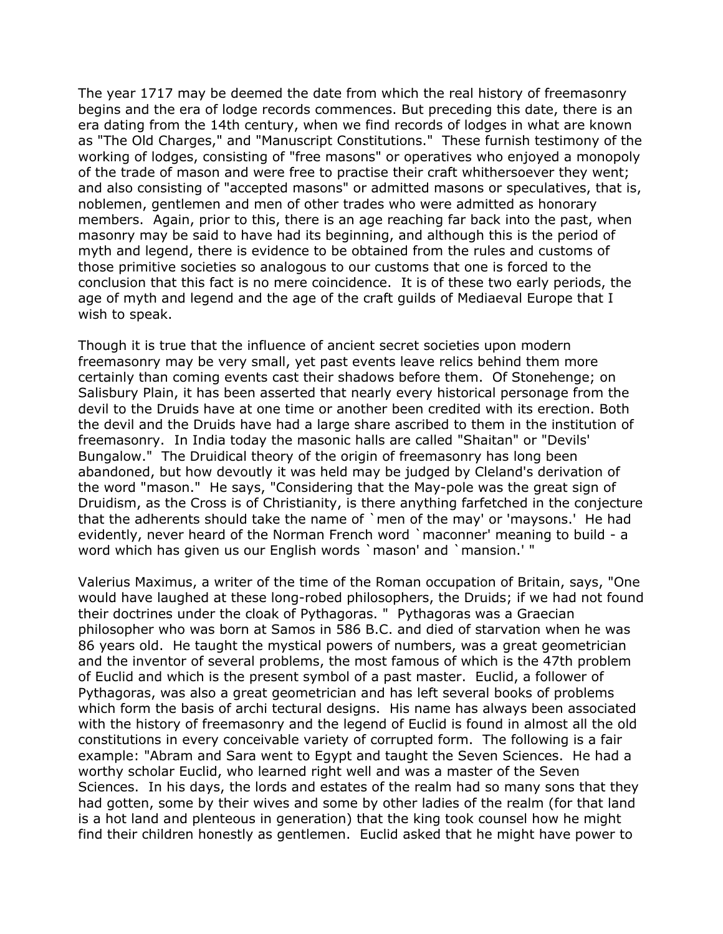The year 1717 may be deemed the date from which the real history of freemasonry begins and the era of lodge records commences. But preceding this date, there is an era dating from the 14th century, when we find records of lodges in what are known as "The Old Charges," and "Manuscript Constitutions." These furnish testimony of the working of lodges, consisting of "free masons" or operatives who enjoyed a monopoly of the trade of mason and were free to practise their craft whithersoever they went; and also consisting of "accepted masons" or admitted masons or speculatives, that is, noblemen, gentlemen and men of other trades who were admitted as honorary members. Again, prior to this, there is an age reaching far back into the past, when masonry may be said to have had its beginning, and although this is the period of myth and legend, there is evidence to be obtained from the rules and customs of those primitive societies so analogous to our customs that one is forced to the conclusion that this fact is no mere coincidence. It is of these two early periods, the age of myth and legend and the age of the craft guilds of Mediaeval Europe that I wish to speak.

Though it is true that the influence of ancient secret societies upon modern freemasonry may be very small, yet past events leave relics behind them more certainly than coming events cast their shadows before them. Of Stonehenge; on Salisbury Plain, it has been asserted that nearly every historical personage from the devil to the Druids have at one time or another been credited with its erection. Both the devil and the Druids have had a large share ascribed to them in the institution of freemasonry. In India today the masonic halls are called "Shaitan" or "Devils' Bungalow." The Druidical theory of the origin of freemasonry has long been abandoned, but how devoutly it was held may be judged by Cleland's derivation of the word "mason." He says, "Considering that the May-pole was the great sign of Druidism, as the Cross is of Christianity, is there anything farfetched in the conjecture that the adherents should take the name of `men of the may' or 'maysons.' He had evidently, never heard of the Norman French word `maconner' meaning to build - a word which has given us our English words `mason' and `mansion.' "

Valerius Maximus, a writer of the time of the Roman occupation of Britain, says, "One would have laughed at these long-robed philosophers, the Druids; if we had not found their doctrines under the cloak of Pythagoras. " Pythagoras was a Graecian philosopher who was born at Samos in 586 B.C. and died of starvation when he was 86 years old. He taught the mystical powers of numbers, was a great geometrician and the inventor of several problems, the most famous of which is the 47th problem of Euclid and which is the present symbol of a past master. Euclid, a follower of Pythagoras, was also a great geometrician and has left several books of problems which form the basis of archi tectural designs. His name has always been associated with the history of freemasonry and the legend of Euclid is found in almost all the old constitutions in every conceivable variety of corrupted form. The following is a fair example: "Abram and Sara went to Egypt and taught the Seven Sciences. He had a worthy scholar Euclid, who learned right well and was a master of the Seven Sciences. In his days, the lords and estates of the realm had so many sons that they had gotten, some by their wives and some by other ladies of the realm (for that land is a hot land and plenteous in generation) that the king took counsel how he might find their children honestly as gentlemen. Euclid asked that he might have power to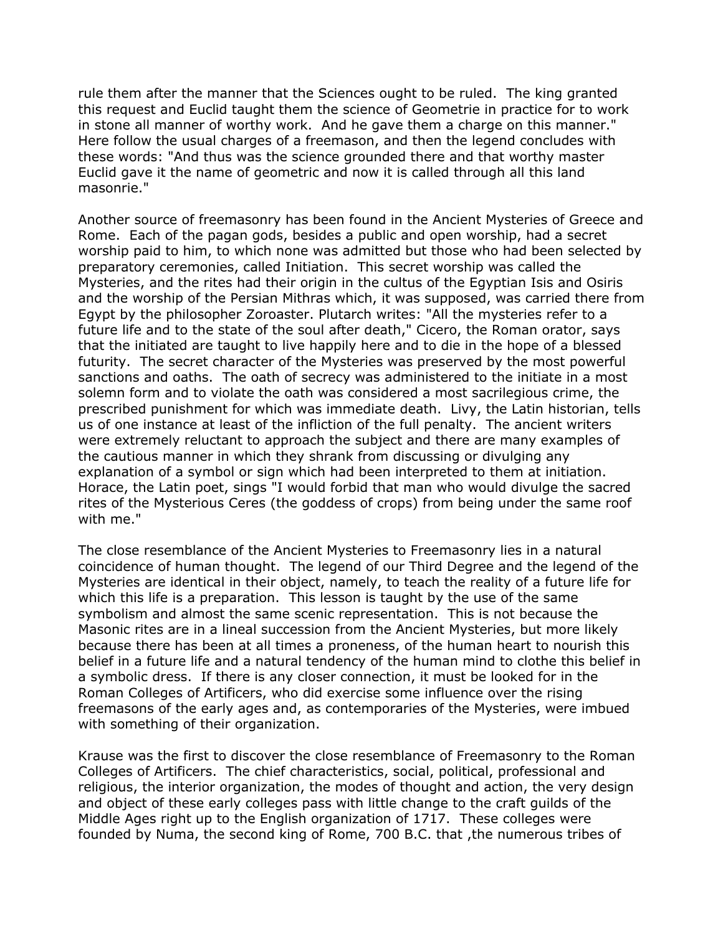rule them after the manner that the Sciences ought to be ruled. The king granted this request and Euclid taught them the science of Geometrie in practice for to work in stone all manner of worthy work. And he gave them a charge on this manner." Here follow the usual charges of a freemason, and then the legend concludes with these words: "And thus was the science grounded there and that worthy master Euclid gave it the name of geometric and now it is called through all this land masonrie."

Another source of freemasonry has been found in the Ancient Mysteries of Greece and Rome. Each of the pagan gods, besides a public and open worship, had a secret worship paid to him, to which none was admitted but those who had been selected by preparatory ceremonies, called Initiation. This secret worship was called the Mysteries, and the rites had their origin in the cultus of the Egyptian Isis and Osiris and the worship of the Persian Mithras which, it was supposed, was carried there from Egypt by the philosopher Zoroaster. Plutarch writes: "All the mysteries refer to a future life and to the state of the soul after death," Cicero, the Roman orator, says that the initiated are taught to live happily here and to die in the hope of a blessed futurity. The secret character of the Mysteries was preserved by the most powerful sanctions and oaths. The oath of secrecy was administered to the initiate in a most solemn form and to violate the oath was considered a most sacrilegious crime, the prescribed punishment for which was immediate death. Livy, the Latin historian, tells us of one instance at least of the infliction of the full penalty. The ancient writers were extremely reluctant to approach the subject and there are many examples of the cautious manner in which they shrank from discussing or divulging any explanation of a symbol or sign which had been interpreted to them at initiation. Horace, the Latin poet, sings "I would forbid that man who would divulge the sacred rites of the Mysterious Ceres (the goddess of crops) from being under the same roof with me."

The close resemblance of the Ancient Mysteries to Freemasonry lies in a natural coincidence of human thought. The legend of our Third Degree and the legend of the Mysteries are identical in their object, namely, to teach the reality of a future life for which this life is a preparation. This lesson is taught by the use of the same symbolism and almost the same scenic representation. This is not because the Masonic rites are in a lineal succession from the Ancient Mysteries, but more likely because there has been at all times a proneness, of the human heart to nourish this belief in a future life and a natural tendency of the human mind to clothe this belief in a symbolic dress. If there is any closer connection, it must be looked for in the Roman Colleges of Artificers, who did exercise some influence over the rising freemasons of the early ages and, as contemporaries of the Mysteries, were imbued with something of their organization.

Krause was the first to discover the close resemblance of Freemasonry to the Roman Colleges of Artificers. The chief characteristics, social, political, professional and religious, the interior organization, the modes of thought and action, the very design and object of these early colleges pass with little change to the craft guilds of the Middle Ages right up to the English organization of 1717. These colleges were founded by Numa, the second king of Rome, 700 B.C. that ,the numerous tribes of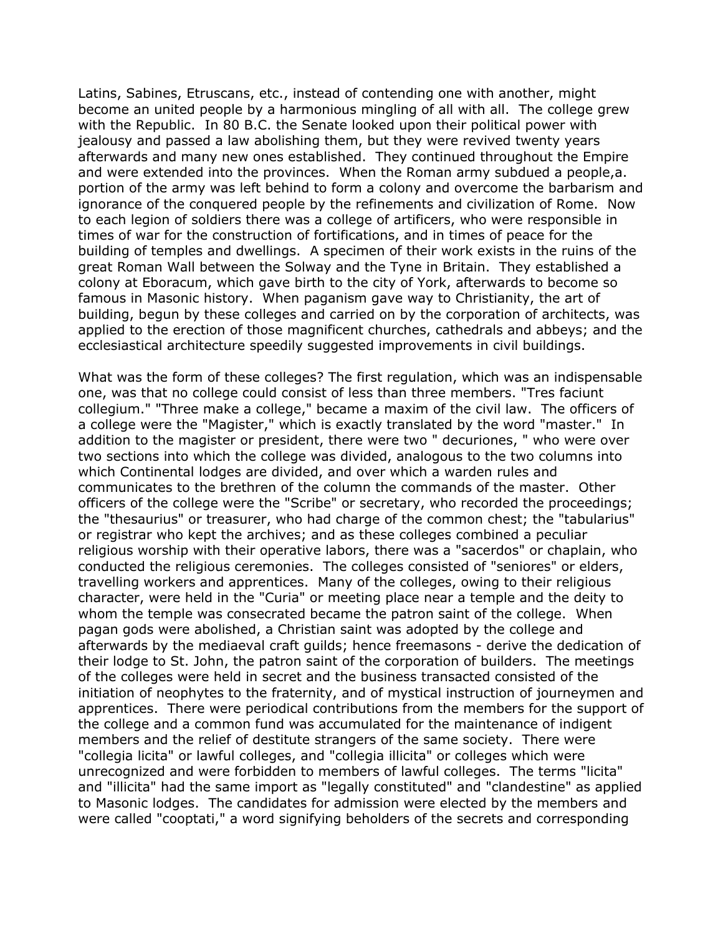Latins, Sabines, Etruscans, etc., instead of contending one with another, might become an united people by a harmonious mingling of all with all. The college grew with the Republic. In 80 B.C. the Senate looked upon their political power with jealousy and passed a law abolishing them, but they were revived twenty years afterwards and many new ones established. They continued throughout the Empire and were extended into the provinces. When the Roman army subdued a people,a. portion of the army was left behind to form a colony and overcome the barbarism and ignorance of the conquered people by the refinements and civilization of Rome. Now to each legion of soldiers there was a college of artificers, who were responsible in times of war for the construction of fortifications, and in times of peace for the building of temples and dwellings. A specimen of their work exists in the ruins of the great Roman Wall between the Solway and the Tyne in Britain. They established a colony at Eboracum, which gave birth to the city of York, afterwards to become so famous in Masonic history. When paganism gave way to Christianity, the art of building, begun by these colleges and carried on by the corporation of architects, was applied to the erection of those magnificent churches, cathedrals and abbeys; and the ecclesiastical architecture speedily suggested improvements in civil buildings.

What was the form of these colleges? The first regulation, which was an indispensable one, was that no college could consist of less than three members. "Tres faciunt collegium." "Three make a college," became a maxim of the civil law. The officers of a college were the "Magister," which is exactly translated by the word "master." In addition to the magister or president, there were two " decuriones, " who were over two sections into which the college was divided, analogous to the two columns into which Continental lodges are divided, and over which a warden rules and communicates to the brethren of the column the commands of the master. Other officers of the college were the "Scribe" or secretary, who recorded the proceedings; the "thesaurius" or treasurer, who had charge of the common chest; the "tabularius" or registrar who kept the archives; and as these colleges combined a peculiar religious worship with their operative labors, there was a "sacerdos" or chaplain, who conducted the religious ceremonies. The colleges consisted of "seniores" or elders, travelling workers and apprentices. Many of the colleges, owing to their religious character, were held in the "Curia" or meeting place near a temple and the deity to whom the temple was consecrated became the patron saint of the college. When pagan gods were abolished, a Christian saint was adopted by the college and afterwards by the mediaeval craft guilds; hence freemasons - derive the dedication of their lodge to St. John, the patron saint of the corporation of builders. The meetings of the colleges were held in secret and the business transacted consisted of the initiation of neophytes to the fraternity, and of mystical instruction of journeymen and apprentices. There were periodical contributions from the members for the support of the college and a common fund was accumulated for the maintenance of indigent members and the relief of destitute strangers of the same society. There were "collegia licita" or lawful colleges, and "collegia illicita" or colleges which were unrecognized and were forbidden to members of lawful colleges. The terms "licita" and "illicita" had the same import as "legally constituted" and "clandestine" as applied to Masonic lodges. The candidates for admission were elected by the members and were called "cooptati," a word signifying beholders of the secrets and corresponding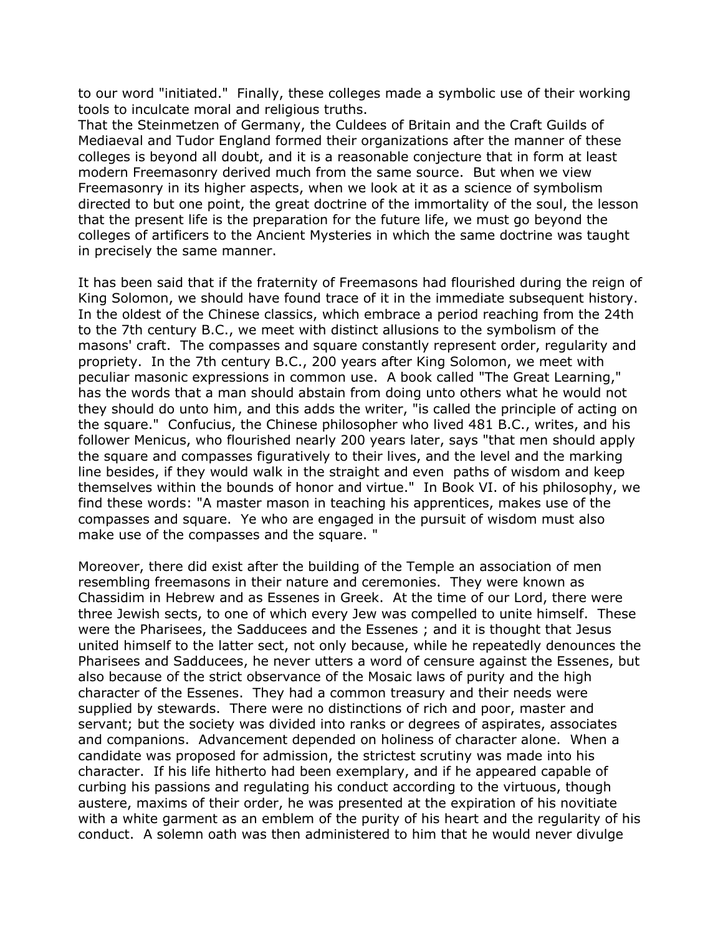to our word "initiated." Finally, these colleges made a symbolic use of their working tools to inculcate moral and religious truths.

That the Steinmetzen of Germany, the Culdees of Britain and the Craft Guilds of Mediaeval and Tudor England formed their organizations after the manner of these colleges is beyond all doubt, and it is a reasonable conjecture that in form at least modern Freemasonry derived much from the same source. But when we view Freemasonry in its higher aspects, when we look at it as a science of symbolism directed to but one point, the great doctrine of the immortality of the soul, the lesson that the present life is the preparation for the future life, we must go beyond the colleges of artificers to the Ancient Mysteries in which the same doctrine was taught in precisely the same manner.

It has been said that if the fraternity of Freemasons had flourished during the reign of King Solomon, we should have found trace of it in the immediate subsequent history. In the oldest of the Chinese classics, which embrace a period reaching from the 24th to the 7th century B.C., we meet with distinct allusions to the symbolism of the masons' craft. The compasses and square constantly represent order, regularity and propriety. In the 7th century B.C., 200 years after King Solomon, we meet with peculiar masonic expressions in common use. A book called "The Great Learning," has the words that a man should abstain from doing unto others what he would not they should do unto him, and this adds the writer, "is called the principle of acting on the square." Confucius, the Chinese philosopher who lived 481 B.C., writes, and his follower Menicus, who flourished nearly 200 years later, says "that men should apply the square and compasses figuratively to their lives, and the level and the marking line besides, if they would walk in the straight and even paths of wisdom and keep themselves within the bounds of honor and virtue." In Book VI. of his philosophy, we find these words: "A master mason in teaching his apprentices, makes use of the compasses and square. Ye who are engaged in the pursuit of wisdom must also make use of the compasses and the square. "

Moreover, there did exist after the building of the Temple an association of men resembling freemasons in their nature and ceremonies. They were known as Chassidim in Hebrew and as Essenes in Greek. At the time of our Lord, there were three Jewish sects, to one of which every Jew was compelled to unite himself. These were the Pharisees, the Sadducees and the Essenes ; and it is thought that Jesus united himself to the latter sect, not only because, while he repeatedly denounces the Pharisees and Sadducees, he never utters a word of censure against the Essenes, but also because of the strict observance of the Mosaic laws of purity and the high character of the Essenes. They had a common treasury and their needs were supplied by stewards. There were no distinctions of rich and poor, master and servant; but the society was divided into ranks or degrees of aspirates, associates and companions. Advancement depended on holiness of character alone. When a candidate was proposed for admission, the strictest scrutiny was made into his character. If his life hitherto had been exemplary, and if he appeared capable of curbing his passions and regulating his conduct according to the virtuous, though austere, maxims of their order, he was presented at the expiration of his novitiate with a white garment as an emblem of the purity of his heart and the regularity of his conduct. A solemn oath was then administered to him that he would never divulge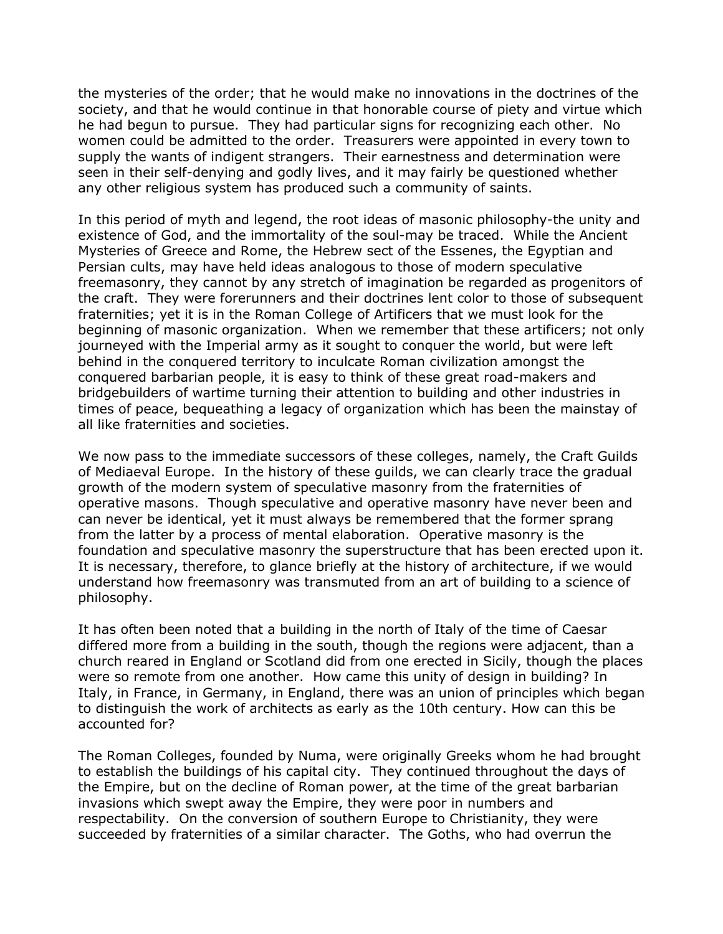the mysteries of the order; that he would make no innovations in the doctrines of the society, and that he would continue in that honorable course of piety and virtue which he had begun to pursue. They had particular signs for recognizing each other. No women could be admitted to the order. Treasurers were appointed in every town to supply the wants of indigent strangers. Their earnestness and determination were seen in their self-denying and godly lives, and it may fairly be questioned whether any other religious system has produced such a community of saints.

In this period of myth and legend, the root ideas of masonic philosophy-the unity and existence of God, and the immortality of the soul-may be traced. While the Ancient Mysteries of Greece and Rome, the Hebrew sect of the Essenes, the Egyptian and Persian cults, may have held ideas analogous to those of modern speculative freemasonry, they cannot by any stretch of imagination be regarded as progenitors of the craft. They were forerunners and their doctrines lent color to those of subsequent fraternities; yet it is in the Roman College of Artificers that we must look for the beginning of masonic organization. When we remember that these artificers; not only journeyed with the Imperial army as it sought to conquer the world, but were left behind in the conquered territory to inculcate Roman civilization amongst the conquered barbarian people, it is easy to think of these great road-makers and bridgebuilders of wartime turning their attention to building and other industries in times of peace, bequeathing a legacy of organization which has been the mainstay of all like fraternities and societies.

We now pass to the immediate successors of these colleges, namely, the Craft Guilds of Mediaeval Europe. In the history of these guilds, we can clearly trace the gradual growth of the modern system of speculative masonry from the fraternities of operative masons. Though speculative and operative masonry have never been and can never be identical, yet it must always be remembered that the former sprang from the latter by a process of mental elaboration. Operative masonry is the foundation and speculative masonry the superstructure that has been erected upon it. It is necessary, therefore, to glance briefly at the history of architecture, if we would understand how freemasonry was transmuted from an art of building to a science of philosophy.

It has often been noted that a building in the north of Italy of the time of Caesar differed more from a building in the south, though the regions were adjacent, than a church reared in England or Scotland did from one erected in Sicily, though the places were so remote from one another. How came this unity of design in building? In Italy, in France, in Germany, in England, there was an union of principles which began to distinguish the work of architects as early as the 10th century. How can this be accounted for?

The Roman Colleges, founded by Numa, were originally Greeks whom he had brought to establish the buildings of his capital city. They continued throughout the days of the Empire, but on the decline of Roman power, at the time of the great barbarian invasions which swept away the Empire, they were poor in numbers and respectability. On the conversion of southern Europe to Christianity, they were succeeded by fraternities of a similar character. The Goths, who had overrun the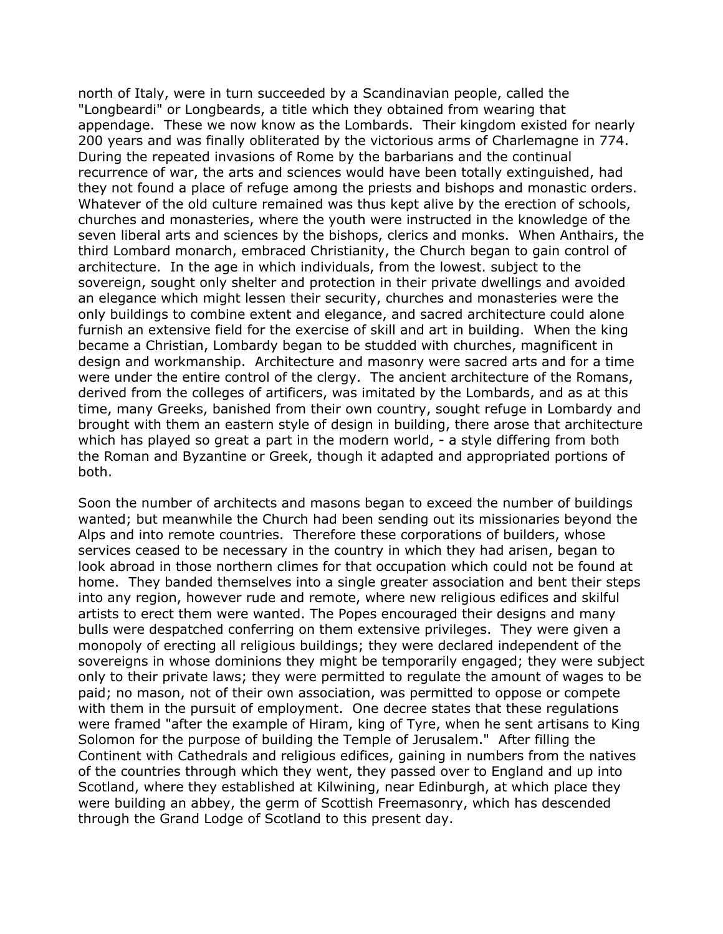north of Italy, were in turn succeeded by a Scandinavian people, called the "Longbeardi" or Longbeards, a title which they obtained from wearing that appendage. These we now know as the Lombards. Their kingdom existed for nearly 200 years and was finally obliterated by the victorious arms of Charlemagne in 774. During the repeated invasions of Rome by the barbarians and the continual recurrence of war, the arts and sciences would have been totally extinguished, had they not found a place of refuge among the priests and bishops and monastic orders. Whatever of the old culture remained was thus kept alive by the erection of schools, churches and monasteries, where the youth were instructed in the knowledge of the seven liberal arts and sciences by the bishops, clerics and monks. When Anthairs, the third Lombard monarch, embraced Christianity, the Church began to gain control of architecture. In the age in which individuals, from the lowest. subject to the sovereign, sought only shelter and protection in their private dwellings and avoided an elegance which might lessen their security, churches and monasteries were the only buildings to combine extent and elegance, and sacred architecture could alone furnish an extensive field for the exercise of skill and art in building. When the king became a Christian, Lombardy began to be studded with churches, magnificent in design and workmanship. Architecture and masonry were sacred arts and for a time were under the entire control of the clergy. The ancient architecture of the Romans, derived from the colleges of artificers, was imitated by the Lombards, and as at this time, many Greeks, banished from their own country, sought refuge in Lombardy and brought with them an eastern style of design in building, there arose that architecture which has played so great a part in the modern world, - a style differing from both the Roman and Byzantine or Greek, though it adapted and appropriated portions of both.

Soon the number of architects and masons began to exceed the number of buildings wanted; but meanwhile the Church had been sending out its missionaries beyond the Alps and into remote countries. Therefore these corporations of builders, whose services ceased to be necessary in the country in which they had arisen, began to look abroad in those northern climes for that occupation which could not be found at home. They banded themselves into a single greater association and bent their steps into any region, however rude and remote, where new religious edifices and skilful artists to erect them were wanted. The Popes encouraged their designs and many bulls were despatched conferring on them extensive privileges. They were given a monopoly of erecting all religious buildings; they were declared independent of the sovereigns in whose dominions they might be temporarily engaged; they were subject only to their private laws; they were permitted to regulate the amount of wages to be paid; no mason, not of their own association, was permitted to oppose or compete with them in the pursuit of employment. One decree states that these regulations were framed "after the example of Hiram, king of Tyre, when he sent artisans to King Solomon for the purpose of building the Temple of Jerusalem." After filling the Continent with Cathedrals and religious edifices, gaining in numbers from the natives of the countries through which they went, they passed over to England and up into Scotland, where they established at Kilwining, near Edinburgh, at which place they were building an abbey, the germ of Scottish Freemasonry, which has descended through the Grand Lodge of Scotland to this present day.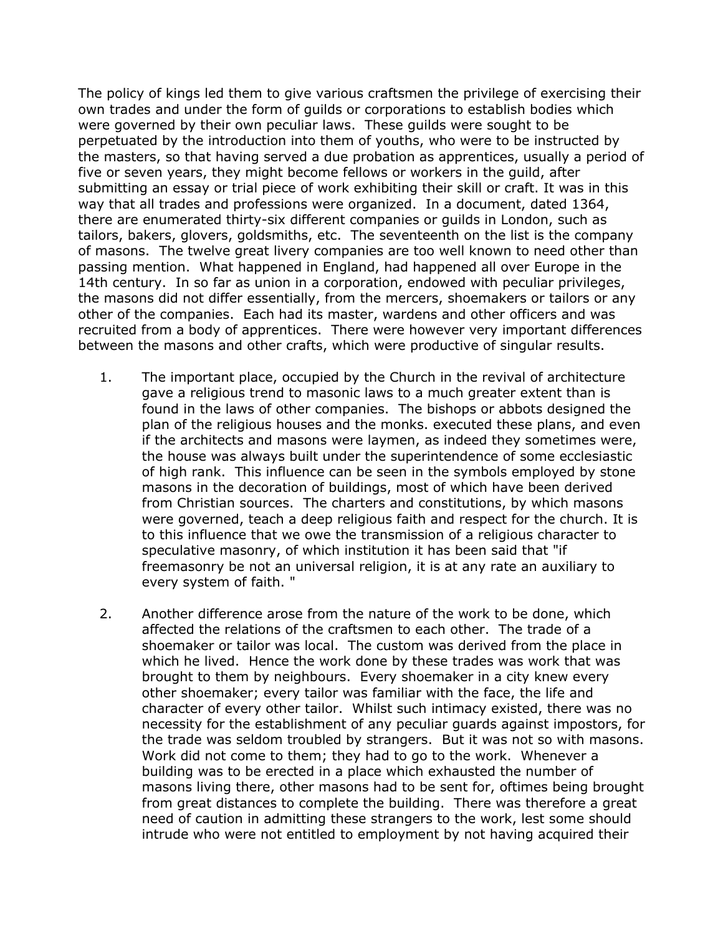The policy of kings led them to give various craftsmen the privilege of exercising their own trades and under the form of guilds or corporations to establish bodies which were governed by their own peculiar laws. These guilds were sought to be perpetuated by the introduction into them of youths, who were to be instructed by the masters, so that having served a due probation as apprentices, usually a period of five or seven years, they might become fellows or workers in the guild, after submitting an essay or trial piece of work exhibiting their skill or craft. It was in this way that all trades and professions were organized. In a document, dated 1364, there are enumerated thirty-six different companies or guilds in London, such as tailors, bakers, glovers, goldsmiths, etc. The seventeenth on the list is the company of masons. The twelve great livery companies are too well known to need other than passing mention. What happened in England, had happened all over Europe in the 14th century. In so far as union in a corporation, endowed with peculiar privileges, the masons did not differ essentially, from the mercers, shoemakers or tailors or any other of the companies. Each had its master, wardens and other officers and was recruited from a body of apprentices. There were however very important differences between the masons and other crafts, which were productive of singular results.

- 1. The important place, occupied by the Church in the revival of architecture gave a religious trend to masonic laws to a much greater extent than is found in the laws of other companies. The bishops or abbots designed the plan of the religious houses and the monks. executed these plans, and even if the architects and masons were laymen, as indeed they sometimes were, the house was always built under the superintendence of some ecclesiastic of high rank. This influence can be seen in the symbols employed by stone masons in the decoration of buildings, most of which have been derived from Christian sources. The charters and constitutions, by which masons were governed, teach a deep religious faith and respect for the church. It is to this influence that we owe the transmission of a religious character to speculative masonry, of which institution it has been said that "if freemasonry be not an universal religion, it is at any rate an auxiliary to every system of faith. "
- 2. Another difference arose from the nature of the work to be done, which affected the relations of the craftsmen to each other. The trade of a shoemaker or tailor was local. The custom was derived from the place in which he lived. Hence the work done by these trades was work that was brought to them by neighbours. Every shoemaker in a city knew every other shoemaker; every tailor was familiar with the face, the life and character of every other tailor. Whilst such intimacy existed, there was no necessity for the establishment of any peculiar guards against impostors, for the trade was seldom troubled by strangers. But it was not so with masons. Work did not come to them; they had to go to the work. Whenever a building was to be erected in a place which exhausted the number of masons living there, other masons had to be sent for, oftimes being brought from great distances to complete the building. There was therefore a great need of caution in admitting these strangers to the work, lest some should intrude who were not entitled to employment by not having acquired their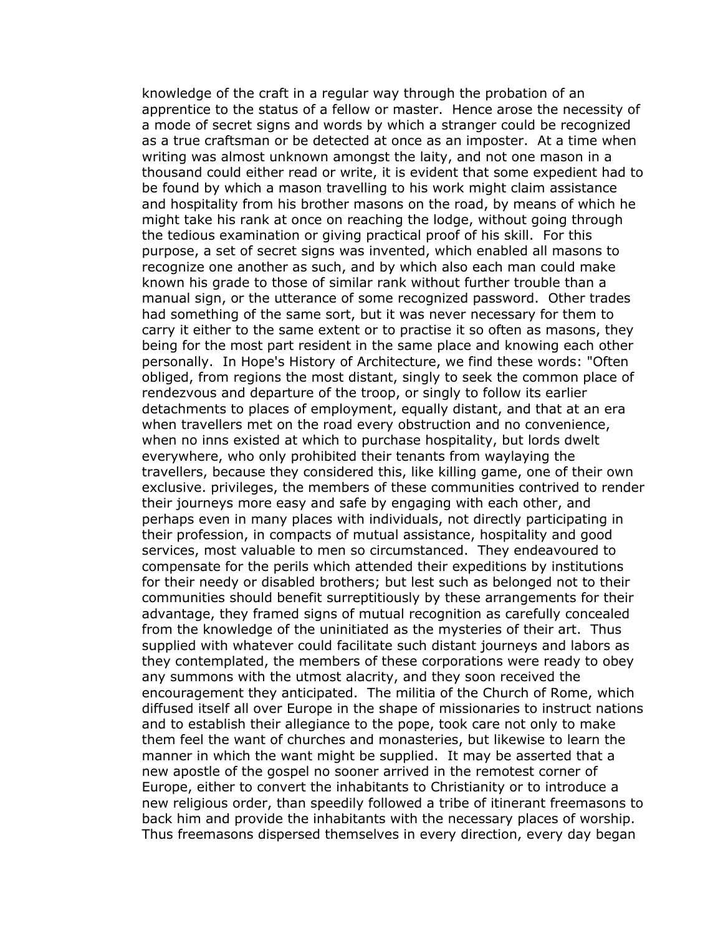knowledge of the craft in a regular way through the probation of an apprentice to the status of a fellow or master. Hence arose the necessity of a mode of secret signs and words by which a stranger could be recognized as a true craftsman or be detected at once as an imposter. At a time when writing was almost unknown amongst the laity, and not one mason in a thousand could either read or write, it is evident that some expedient had to be found by which a mason travelling to his work might claim assistance and hospitality from his brother masons on the road, by means of which he might take his rank at once on reaching the lodge, without going through the tedious examination or giving practical proof of his skill. For this purpose, a set of secret signs was invented, which enabled all masons to recognize one another as such, and by which also each man could make known his grade to those of similar rank without further trouble than a manual sign, or the utterance of some recognized password. Other trades had something of the same sort, but it was never necessary for them to carry it either to the same extent or to practise it so often as masons, they being for the most part resident in the same place and knowing each other personally. In Hope's History of Architecture, we find these words: "Often obliged, from regions the most distant, singly to seek the common place of rendezvous and departure of the troop, or singly to follow its earlier detachments to places of employment, equally distant, and that at an era when travellers met on the road every obstruction and no convenience, when no inns existed at which to purchase hospitality, but lords dwelt everywhere, who only prohibited their tenants from waylaying the travellers, because they considered this, like killing game, one of their own exclusive. privileges, the members of these communities contrived to render their journeys more easy and safe by engaging with each other, and perhaps even in many places with individuals, not directly participating in their profession, in compacts of mutual assistance, hospitality and good services, most valuable to men so circumstanced. They endeavoured to compensate for the perils which attended their expeditions by institutions for their needy or disabled brothers; but lest such as belonged not to their communities should benefit surreptitiously by these arrangements for their advantage, they framed signs of mutual recognition as carefully concealed from the knowledge of the uninitiated as the mysteries of their art. Thus supplied with whatever could facilitate such distant journeys and labors as they contemplated, the members of these corporations were ready to obey any summons with the utmost alacrity, and they soon received the encouragement they anticipated. The militia of the Church of Rome, which diffused itself all over Europe in the shape of missionaries to instruct nations and to establish their allegiance to the pope, took care not only to make them feel the want of churches and monasteries, but likewise to learn the manner in which the want might be supplied. It may be asserted that a new apostle of the gospel no sooner arrived in the remotest corner of Europe, either to convert the inhabitants to Christianity or to introduce a new religious order, than speedily followed a tribe of itinerant freemasons to back him and provide the inhabitants with the necessary places of worship. Thus freemasons dispersed themselves in every direction, every day began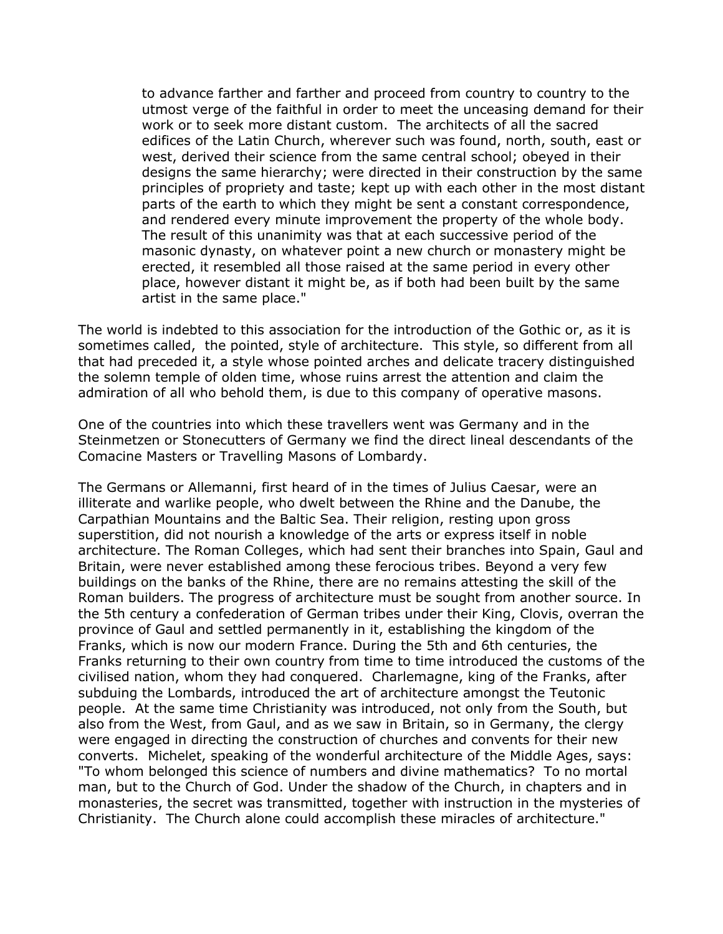to advance farther and farther and proceed from country to country to the utmost verge of the faithful in order to meet the unceasing demand for their work or to seek more distant custom. The architects of all the sacred edifices of the Latin Church, wherever such was found, north, south, east or west, derived their science from the same central school; obeyed in their designs the same hierarchy; were directed in their construction by the same principles of propriety and taste; kept up with each other in the most distant parts of the earth to which they might be sent a constant correspondence, and rendered every minute improvement the property of the whole body. The result of this unanimity was that at each successive period of the masonic dynasty, on whatever point a new church or monastery might be erected, it resembled all those raised at the same period in every other place, however distant it might be, as if both had been built by the same artist in the same place."

The world is indebted to this association for the introduction of the Gothic or, as it is sometimes called, the pointed, style of architecture. This style, so different from all that had preceded it, a style whose pointed arches and delicate tracery distinguished the solemn temple of olden time, whose ruins arrest the attention and claim the admiration of all who behold them, is due to this company of operative masons.

One of the countries into which these travellers went was Germany and in the Steinmetzen or Stonecutters of Germany we find the direct lineal descendants of the Comacine Masters or Travelling Masons of Lombardy.

The Germans or Allemanni, first heard of in the times of Julius Caesar, were an illiterate and warlike people, who dwelt between the Rhine and the Danube, the Carpathian Mountains and the Baltic Sea. Their religion, resting upon gross superstition, did not nourish a knowledge of the arts or express itself in noble architecture. The Roman Colleges, which had sent their branches into Spain, Gaul and Britain, were never established among these ferocious tribes. Beyond a very few buildings on the banks of the Rhine, there are no remains attesting the skill of the Roman builders. The progress of architecture must be sought from another source. In the 5th century a confederation of German tribes under their King, Clovis, overran the province of Gaul and settled permanently in it, establishing the kingdom of the Franks, which is now our modern France. During the 5th and 6th centuries, the Franks returning to their own country from time to time introduced the customs of the civilised nation, whom they had conquered. Charlemagne, king of the Franks, after subduing the Lombards, introduced the art of architecture amongst the Teutonic people. At the same time Christianity was introduced, not only from the South, but also from the West, from Gaul, and as we saw in Britain, so in Germany, the clergy were engaged in directing the construction of churches and convents for their new converts. Michelet, speaking of the wonderful architecture of the Middle Ages, says: "To whom belonged this science of numbers and divine mathematics? To no mortal man, but to the Church of God. Under the shadow of the Church, in chapters and in monasteries, the secret was transmitted, together with instruction in the mysteries of Christianity. The Church alone could accomplish these miracles of architecture."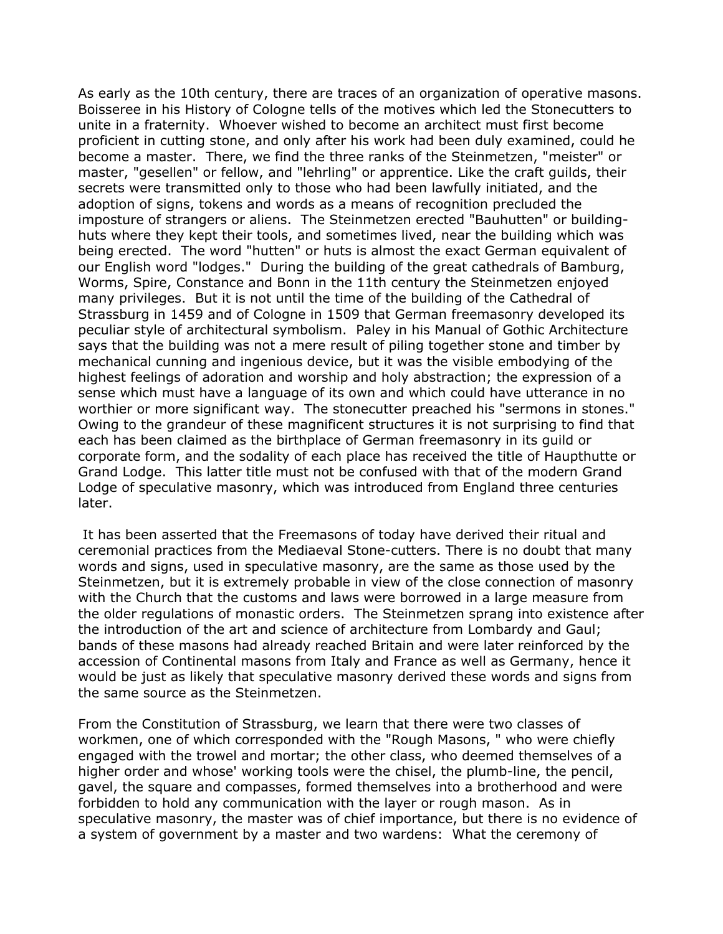As early as the 10th century, there are traces of an organization of operative masons. Boisseree in his History of Cologne tells of the motives which led the Stonecutters to unite in a fraternity. Whoever wished to become an architect must first become proficient in cutting stone, and only after his work had been duly examined, could he become a master. There, we find the three ranks of the Steinmetzen, "meister" or master, "gesellen" or fellow, and "lehrling" or apprentice. Like the craft guilds, their secrets were transmitted only to those who had been lawfully initiated, and the adoption of signs, tokens and words as a means of recognition precluded the imposture of strangers or aliens. The Steinmetzen erected "Bauhutten" or buildinghuts where they kept their tools, and sometimes lived, near the building which was being erected. The word "hutten" or huts is almost the exact German equivalent of our English word "lodges." During the building of the great cathedrals of Bamburg, Worms, Spire, Constance and Bonn in the 11th century the Steinmetzen enjoyed many privileges. But it is not until the time of the building of the Cathedral of Strassburg in 1459 and of Cologne in 1509 that German freemasonry developed its peculiar style of architectural symbolism. Paley in his Manual of Gothic Architecture says that the building was not a mere result of piling together stone and timber by mechanical cunning and ingenious device, but it was the visible embodying of the highest feelings of adoration and worship and holy abstraction; the expression of a sense which must have a language of its own and which could have utterance in no worthier or more significant way. The stonecutter preached his "sermons in stones." Owing to the grandeur of these magnificent structures it is not surprising to find that each has been claimed as the birthplace of German freemasonry in its guild or corporate form, and the sodality of each place has received the title of Haupthutte or Grand Lodge. This latter title must not be confused with that of the modern Grand Lodge of speculative masonry, which was introduced from England three centuries later.

It has been asserted that the Freemasons of today have derived their ritual and ceremonial practices from the Mediaeval Stone-cutters. There is no doubt that many words and signs, used in speculative masonry, are the same as those used by the Steinmetzen, but it is extremely probable in view of the close connection of masonry with the Church that the customs and laws were borrowed in a large measure from the older regulations of monastic orders. The Steinmetzen sprang into existence after the introduction of the art and science of architecture from Lombardy and Gaul; bands of these masons had already reached Britain and were later reinforced by the accession of Continental masons from Italy and France as well as Germany, hence it would be just as likely that speculative masonry derived these words and signs from the same source as the Steinmetzen.

From the Constitution of Strassburg, we learn that there were two classes of workmen, one of which corresponded with the "Rough Masons, " who were chiefly engaged with the trowel and mortar; the other class, who deemed themselves of a higher order and whose' working tools were the chisel, the plumb-line, the pencil, gavel, the square and compasses, formed themselves into a brotherhood and were forbidden to hold any communication with the layer or rough mason. As in speculative masonry, the master was of chief importance, but there is no evidence of a system of government by a master and two wardens: What the ceremony of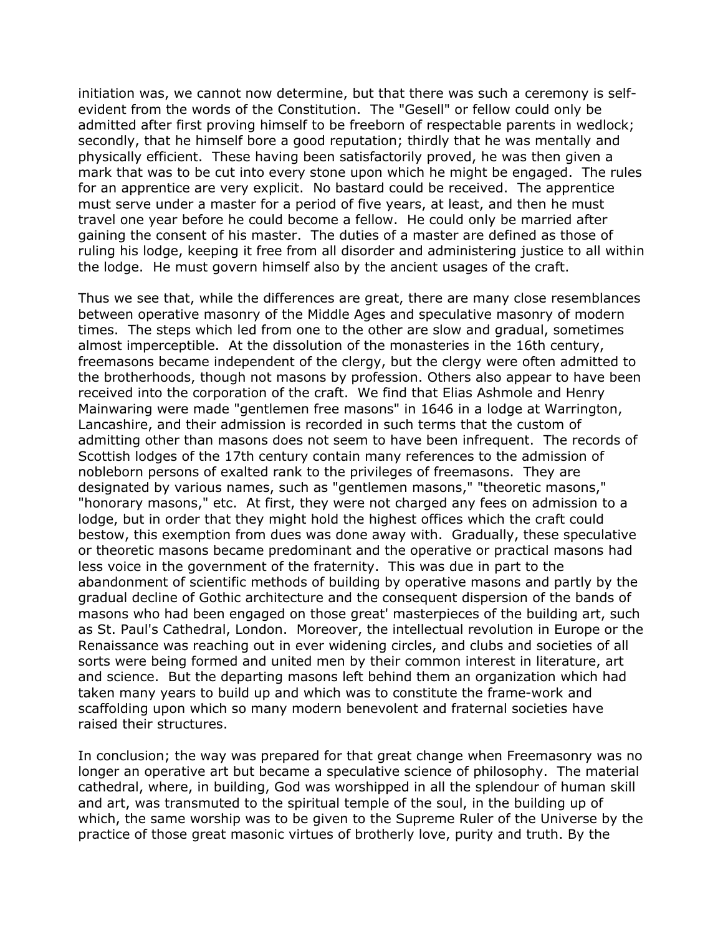initiation was, we cannot now determine, but that there was such a ceremony is selfevident from the words of the Constitution. The "Gesell" or fellow could only be admitted after first proving himself to be freeborn of respectable parents in wedlock; secondly, that he himself bore a good reputation; thirdly that he was mentally and physically efficient. These having been satisfactorily proved, he was then given a mark that was to be cut into every stone upon which he might be engaged. The rules for an apprentice are very explicit. No bastard could be received. The apprentice must serve under a master for a period of five years, at least, and then he must travel one year before he could become a fellow. He could only be married after gaining the consent of his master. The duties of a master are defined as those of ruling his lodge, keeping it free from all disorder and administering justice to all within the lodge. He must govern himself also by the ancient usages of the craft.

Thus we see that, while the differences are great, there are many close resemblances between operative masonry of the Middle Ages and speculative masonry of modern times. The steps which led from one to the other are slow and gradual, sometimes almost imperceptible. At the dissolution of the monasteries in the 16th century, freemasons became independent of the clergy, but the clergy were often admitted to the brotherhoods, though not masons by profession. Others also appear to have been received into the corporation of the craft. We find that Elias Ashmole and Henry Mainwaring were made "gentlemen free masons" in 1646 in a lodge at Warrington, Lancashire, and their admission is recorded in such terms that the custom of admitting other than masons does not seem to have been infrequent. The records of Scottish lodges of the 17th century contain many references to the admission of nobleborn persons of exalted rank to the privileges of freemasons. They are designated by various names, such as "gentlemen masons," "theoretic masons," "honorary masons," etc. At first, they were not charged any fees on admission to a lodge, but in order that they might hold the highest offices which the craft could bestow, this exemption from dues was done away with. Gradually, these speculative or theoretic masons became predominant and the operative or practical masons had less voice in the government of the fraternity. This was due in part to the abandonment of scientific methods of building by operative masons and partly by the gradual decline of Gothic architecture and the consequent dispersion of the bands of masons who had been engaged on those great' masterpieces of the building art, such as St. Paul's Cathedral, London. Moreover, the intellectual revolution in Europe or the Renaissance was reaching out in ever widening circles, and clubs and societies of all sorts were being formed and united men by their common interest in literature, art and science. But the departing masons left behind them an organization which had taken many years to build up and which was to constitute the frame-work and scaffolding upon which so many modern benevolent and fraternal societies have raised their structures.

In conclusion; the way was prepared for that great change when Freemasonry was no longer an operative art but became a speculative science of philosophy. The material cathedral, where, in building, God was worshipped in all the splendour of human skill and art, was transmuted to the spiritual temple of the soul, in the building up of which, the same worship was to be given to the Supreme Ruler of the Universe by the practice of those great masonic virtues of brotherly love, purity and truth. By the